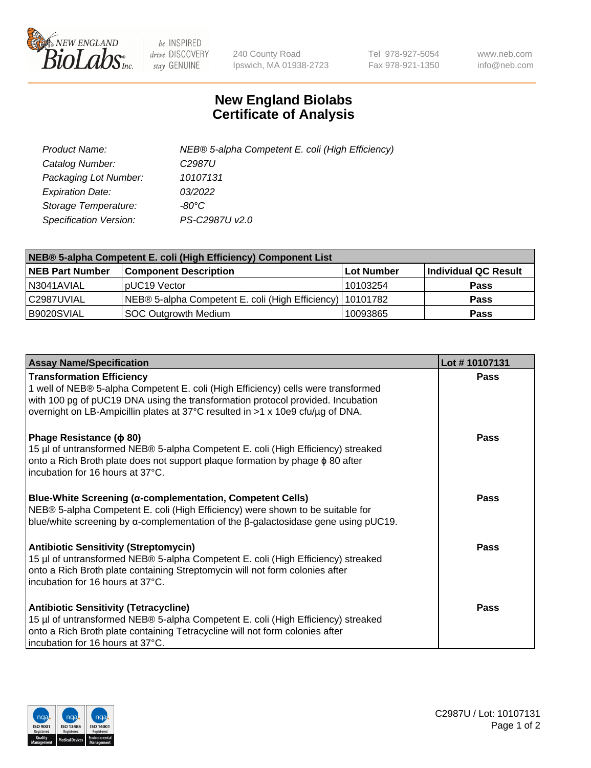

 $be$  INSPIRED drive DISCOVERY stay GENUINE

240 County Road Ipswich, MA 01938-2723 Tel 978-927-5054 Fax 978-921-1350 www.neb.com info@neb.com

## **New England Biolabs Certificate of Analysis**

| Product Name:           | NEB® 5-alpha Competent E. coli (High Efficiency) |
|-------------------------|--------------------------------------------------|
| Catalog Number:         | C <sub>2987</sub> U                              |
| Packaging Lot Number:   | 10107131                                         |
| <b>Expiration Date:</b> | 03/2022                                          |
| Storage Temperature:    | -80°C                                            |
| Specification Version:  | PS-C2987U v2.0                                   |

| NEB® 5-alpha Competent E. coli (High Efficiency) Component List |                                                             |            |                      |  |
|-----------------------------------------------------------------|-------------------------------------------------------------|------------|----------------------|--|
| <b>NEB Part Number</b>                                          | <b>Component Description</b>                                | Lot Number | Individual QC Result |  |
| N3041AVIAL                                                      | pUC19 Vector                                                | 10103254   | <b>Pass</b>          |  |
| C2987UVIAL                                                      | NEB® 5-alpha Competent E. coli (High Efficiency)   10101782 |            | <b>Pass</b>          |  |
| B9020SVIAL                                                      | SOC Outgrowth Medium                                        | 10093865   | <b>Pass</b>          |  |

| <b>Assay Name/Specification</b>                                                                                                                                                                                                                                                            | Lot #10107131 |
|--------------------------------------------------------------------------------------------------------------------------------------------------------------------------------------------------------------------------------------------------------------------------------------------|---------------|
| <b>Transformation Efficiency</b><br>1 well of NEB® 5-alpha Competent E. coli (High Efficiency) cells were transformed<br>with 100 pg of pUC19 DNA using the transformation protocol provided. Incubation<br>overnight on LB-Ampicillin plates at 37°C resulted in >1 x 10e9 cfu/µg of DNA. | <b>Pass</b>   |
| Phage Resistance ( $\phi$ 80)<br>15 µl of untransformed NEB® 5-alpha Competent E. coli (High Efficiency) streaked<br>onto a Rich Broth plate does not support plaque formation by phage $\phi$ 80 after<br>incubation for 16 hours at 37°C.                                                | Pass          |
| <b>Blue-White Screening (α-complementation, Competent Cells)</b><br>NEB® 5-alpha Competent E. coli (High Efficiency) were shown to be suitable for<br>blue/white screening by $\alpha$ -complementation of the $\beta$ -galactosidase gene using pUC19.                                    | Pass          |
| <b>Antibiotic Sensitivity (Streptomycin)</b><br>15 µl of untransformed NEB® 5-alpha Competent E. coli (High Efficiency) streaked<br>onto a Rich Broth plate containing Streptomycin will not form colonies after<br>incubation for 16 hours at 37°C.                                       | Pass          |
| <b>Antibiotic Sensitivity (Tetracycline)</b><br>15 µl of untransformed NEB® 5-alpha Competent E. coli (High Efficiency) streaked<br>onto a Rich Broth plate containing Tetracycline will not form colonies after<br>incubation for 16 hours at 37°C.                                       | Pass          |